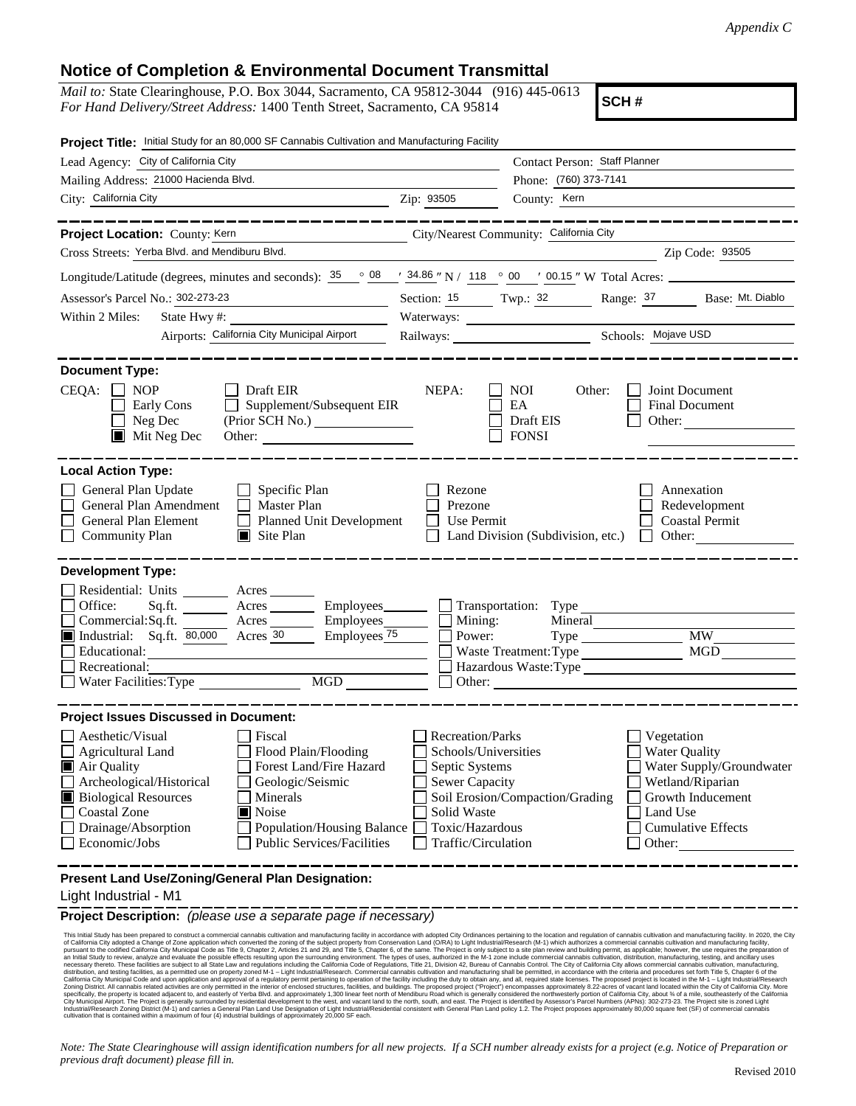## **Notice of Completion & Environmental Document Transmittal**

*Mail to:* State Clearinghouse, P.O. Box 3044, Sacramento, CA 95812-3044 (916) 445-0613 *For Hand Delivery/Street Address:* 1400 Tenth Street, Sacramento, CA 95814

**SCH #**

| Project Title: Initial Study for an 80,000 SF Cannabis Cultivation and Manufacturing Facility                                                                                                                                                                                                                                                                                                                                |                                                                                                                                              |                                               |                                                          |                                                                                                |  |
|------------------------------------------------------------------------------------------------------------------------------------------------------------------------------------------------------------------------------------------------------------------------------------------------------------------------------------------------------------------------------------------------------------------------------|----------------------------------------------------------------------------------------------------------------------------------------------|-----------------------------------------------|----------------------------------------------------------|------------------------------------------------------------------------------------------------|--|
| Lead Agency: City of California City                                                                                                                                                                                                                                                                                                                                                                                         |                                                                                                                                              | Contact Person: Staff Planner                 |                                                          |                                                                                                |  |
| Mailing Address: 21000 Hacienda Blvd.                                                                                                                                                                                                                                                                                                                                                                                        |                                                                                                                                              | Phone: (760) 373-7141                         |                                                          |                                                                                                |  |
| City: California City                                                                                                                                                                                                                                                                                                                                                                                                        | Zip: 93505                                                                                                                                   | County: Kern                                  |                                                          |                                                                                                |  |
|                                                                                                                                                                                                                                                                                                                                                                                                                              |                                                                                                                                              |                                               |                                                          |                                                                                                |  |
| Project Location: County: Kern                                                                                                                                                                                                                                                                                                                                                                                               | City/Nearest Community: California City                                                                                                      |                                               |                                                          |                                                                                                |  |
| Cross Streets: Yerba Blvd. and Mendiburu Blvd.                                                                                                                                                                                                                                                                                                                                                                               |                                                                                                                                              |                                               |                                                          | Zip Code: 93505                                                                                |  |
| Longitude/Latitude (degrees, minutes and seconds): $\frac{35}{25}$ $\frac{08}{24.86}$ N / 118 $\frac{000}{200}$ $\frac{000}{20.15}$ W Total Acres:                                                                                                                                                                                                                                                                           |                                                                                                                                              |                                               |                                                          |                                                                                                |  |
| Assessor's Parcel No.: 302-273-23                                                                                                                                                                                                                                                                                                                                                                                            |                                                                                                                                              |                                               |                                                          | Section: 15 Twp.: 32 Range: 37 Base: Mt. Diablo                                                |  |
| Within 2 Miles:<br>State Hwy#:                                                                                                                                                                                                                                                                                                                                                                                               |                                                                                                                                              |                                               |                                                          |                                                                                                |  |
| Airports: California City Municipal Airport                                                                                                                                                                                                                                                                                                                                                                                  |                                                                                                                                              |                                               |                                                          |                                                                                                |  |
| <b>Document Type:</b>                                                                                                                                                                                                                                                                                                                                                                                                        |                                                                                                                                              |                                               |                                                          |                                                                                                |  |
| CEQA:<br>$\Box$ NOP<br>$\Box$ Draft EIR<br>Supplement/Subsequent EIR<br>Early Cons<br>$\Box$<br>Neg Dec<br>$\blacksquare$ Mit Neg Dec                                                                                                                                                                                                                                                                                        | NEPA:                                                                                                                                        | <b>NOI</b><br>EA<br>Draft EIS<br><b>FONSI</b> | Other:<br>Other: $\qquad \qquad$                         | Joint Document<br><b>Final Document</b>                                                        |  |
| <b>Local Action Type:</b><br>General Plan Update<br>$\Box$ Specific Plan<br>General Plan Amendment<br>$\Box$ Master Plan<br>General Plan Element<br>Planned Unit Development<br>$\Box$ Community Plan<br>$\Box$ Site Plan                                                                                                                                                                                                    | Rezone<br>Prezone<br>Use Permit                                                                                                              | Land Division (Subdivision, etc.)             |                                                          | Annexation<br>Redevelopment<br><b>Coastal Permit</b><br>Other:                                 |  |
| <b>Development Type:</b><br>Residential: Units Acres<br>Office:<br>$A$ cres $\_\_\_\_\_\_\_\$<br>Sq.ft.                                                                                                                                                                                                                                                                                                                      |                                                                                                                                              |                                               |                                                          |                                                                                                |  |
| Commercial:Sq.ft. Acres<br>Employees_                                                                                                                                                                                                                                                                                                                                                                                        | Mining:                                                                                                                                      |                                               | Mineral                                                  |                                                                                                |  |
| Industrial: Sq.ft. 80,000 Acres 30<br>Employees 75                                                                                                                                                                                                                                                                                                                                                                           | Power:                                                                                                                                       |                                               |                                                          | <b>MW</b>                                                                                      |  |
| Educational:                                                                                                                                                                                                                                                                                                                                                                                                                 |                                                                                                                                              |                                               | Waste Treatment: Type                                    | <b>MGD</b>                                                                                     |  |
| Recreational:<br>MGD<br>Water Facilities: Type                                                                                                                                                                                                                                                                                                                                                                               |                                                                                                                                              | Hazardous Waste:Type<br>Other:                |                                                          |                                                                                                |  |
|                                                                                                                                                                                                                                                                                                                                                                                                                              |                                                                                                                                              |                                               |                                                          |                                                                                                |  |
| <b>Project Issues Discussed in Document:</b><br>$\Box$ Aesthetic/Visual<br>Fiscal<br>$\Box$ Agricultural Land<br>Flood Plain/Flooding<br>Forest Land/Fire Hazard<br>Air Quality<br>Archeological/Historical<br>Geologic/Seismic<br><b>Biological Resources</b><br>Minerals<br><b>Coastal Zone</b><br>Noise<br>Drainage/Absorption<br>Population/Housing Balance<br>$\Box$ Economic/Jobs<br><b>Public Services/Facilities</b> | <b>Recreation/Parks</b><br>Schools/Universities<br>Septic Systems<br>Sewer Capacity<br>Solid Waste<br>Toxic/Hazardous<br>Traffic/Circulation | Soil Erosion/Compaction/Grading               | Vegetation<br><b>Water Quality</b><br>Land Use<br>Other: | Water Supply/Groundwater<br>Wetland/Riparian<br>Growth Inducement<br><b>Cumulative Effects</b> |  |
| Present Land Use/Zoning/General Plan Designation:<br>Light Inductrial M11                                                                                                                                                                                                                                                                                                                                                    |                                                                                                                                              |                                               |                                                          |                                                                                                |  |

Light Industrial - M1

**Project Description:** *(please use a separate page if necessary)*

This Initial Study has been prepared to construct a commercial cannabis cultivation and manufacturing facility in accordance with adopted City Ordinances pertaining to the location and regulation of cannabis cultivation an

*Note: The State Clearinghouse will assign identification numbers for all new projects. If a SCH number already exists for a project (e.g. Notice of Preparation or previous draft document) please fill in.*